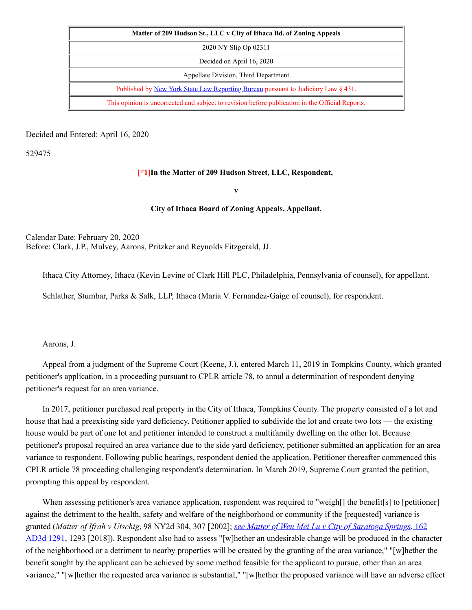| Matter of 209 Hudson St., LLC v City of Ithaca Bd. of Zoning Appeals                            |
|-------------------------------------------------------------------------------------------------|
| 2020 NY Slip Op 02311                                                                           |
| Decided on April 16, 2020                                                                       |
| Appellate Division, Third Department                                                            |
| Published by <u>New York State Law Reporting Bureau</u> pursuant to Judiciary Law § 431.        |
| This opinion is uncorrected and subject to revision before publication in the Official Reports. |

Decided and Entered: April 16, 2020

529475

## **[\*1]In the Matter of 209 Hudson Street, LLC, Respondent,**

**v**

## **City of Ithaca Board of Zoning Appeals, Appellant.**

Calendar Date: February 20, 2020 Before: Clark, J.P., Mulvey, Aarons, Pritzker and Reynolds Fitzgerald, JJ.

Ithaca City Attorney, Ithaca (Kevin Levine of Clark Hill PLC, Philadelphia, Pennsylvania of counsel), for appellant.

Schlather, Stumbar, Parks & Salk, LLP, Ithaca (Maria V. Fernandez-Gaige of counsel), for respondent.

Aarons, J.

Appeal from a judgment of the Supreme Court (Keene, J.), entered March 11, 2019 in Tompkins County, which granted petitioner's application, in a proceeding pursuant to CPLR article 78, to annul a determination of respondent denying petitioner's request for an area variance.

In 2017, petitioner purchased real property in the City of Ithaca, Tompkins County. The property consisted of a lot and house that had a preexisting side yard deficiency. Petitioner applied to subdivide the lot and create two lots — the existing house would be part of one lot and petitioner intended to construct a multifamily dwelling on the other lot. Because petitioner's proposal required an area variance due to the side yard deficiency, petitioner submitted an application for an area variance to respondent. Following public hearings, respondent denied the application. Petitioner thereafter commenced this CPLR article 78 proceeding challenging respondent's determination. In March 2019, Supreme Court granted the petition, prompting this appeal by respondent.

When assessing petitioner's area variance application, respondent was required to "weigh[] the benefit[s] to [petitioner] against the detriment to the health, safety and welfare of the neighborhood or community if the [requested] variance is granted (Matter of Ifrah v Utschig, 98 NY2d 304, 307 [2002]; see Matter of Wen Mei Lu v City of Saratoga Springs, 162 AD3d 1291, 1293 [2018]). [Respondent](http://www.nycourts.gov/reporter/3dseries/2018/2018_04415.htm) also had to assess "[w]hether an undesirable change will be produced in the character of the neighborhood or a detriment to nearby properties will be created by the granting of the area variance," "[w]hether the benefit sought by the applicant can be achieved by some method feasible for the applicant to pursue, other than an area variance," "[w]hether the requested area variance is substantial," "[w]hether the proposed variance will have an adverse effect